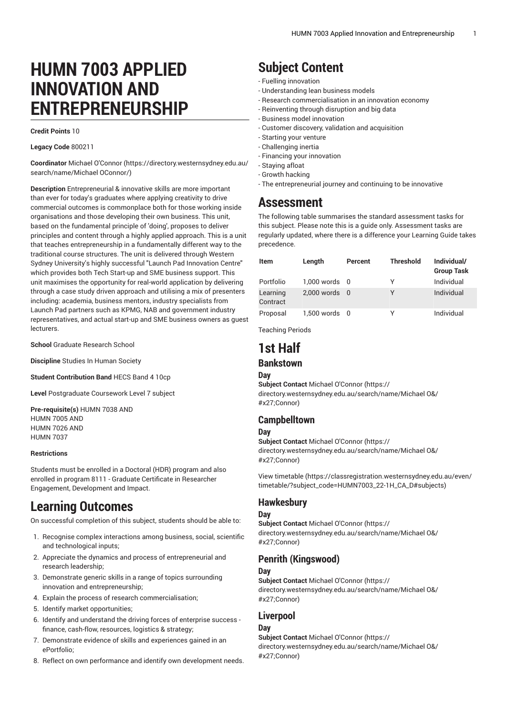# **HUMN 7003 APPLIED INNOVATION AND ENTREPRENEURSHIP**

#### **Credit Points** 10

#### **Legacy Code** 800211

**Coordinator** [Michael O'Connor \(https://directory.westernsydney.edu.au/](https://directory.westernsydney.edu.au/search/name/Michael OConnor/) [search/name/Michael](https://directory.westernsydney.edu.au/search/name/Michael OConnor/) OConnor/)

**Description** Entrepreneurial & innovative skills are more important than ever for today's graduates where applying creativity to drive commercial outcomes is commonplace both for those working inside organisations and those developing their own business. This unit, based on the fundamental principle of 'doing', proposes to deliver principles and content through a highly applied approach. This is a unit that teaches entrepreneurship in a fundamentally different way to the traditional course structures. The unit is delivered through Western Sydney University's highly successful "Launch Pad Innovation Centre" which provides both Tech Start-up and SME business support. This unit maximises the opportunity for real-world application by delivering through a case study driven approach and utilising a mix of presenters including: academia, business mentors, industry specialists from Launch Pad partners such as KPMG, NAB and government industry representatives, and actual start-up and SME business owners as guest lecturers.

**School** Graduate Research School

**Discipline** Studies In Human Society

**Student Contribution Band** HECS Band 4 10cp

**Level** Postgraduate Coursework Level 7 subject

**Pre-requisite(s)** [HUMN 7038](/search/?P=HUMN%207038) AND [HUMN 7005](/search/?P=HUMN%207005) AND [HUMN 7026](/search/?P=HUMN%207026) AND [HUMN 7037](/search/?P=HUMN%207037)

#### **Restrictions**

Students must be enrolled in a Doctoral (HDR) program and also enrolled in program 8111 - Graduate Certificate in Researcher Engagement, Development and Impact.

# **Learning Outcomes**

On successful completion of this subject, students should be able to:

- 1. Recognise complex interactions among business, social, scientific and technological inputs;
- 2. Appreciate the dynamics and process of entrepreneurial and research leadership;
- 3. Demonstrate generic skills in a range of topics surrounding innovation and entrepreneurship;
- 4. Explain the process of research commercialisation;
- 5. Identify market opportunities;
- 6. Identify and understand the driving forces of enterprise success finance, cash-flow, resources, logistics & strategy;
- 7. Demonstrate evidence of skills and experiences gained in an ePortfolio;
- 8. Reflect on own performance and identify own development needs.

# **Subject Content**

- Fuelling innovation
- Understanding lean business models
- Research commercialisation in an innovation economy
- Reinventing through disruption and big data
- Business model innovation
- Customer discovery, validation and acquisition
- Starting your venture
- Challenging inertia
- Financing your innovation
- Staying afloat
- Growth hacking
- The entrepreneurial journey and continuing to be innovative

# **Assessment**

The following table summarises the standard assessment tasks for this subject. Please note this is a guide only. Assessment tasks are regularly updated, where there is a difference your Learning Guide takes precedence.

| <b>Item</b>          | Length        | Percent | <b>Threshold</b> | Individual/<br><b>Group Task</b> |
|----------------------|---------------|---------|------------------|----------------------------------|
| Portfolio            | 1,000 words 0 |         | ٧                | Individual                       |
| Learning<br>Contract | 2,000 words 0 |         | γ                | Individual                       |
| Proposal             | 1,500 words 0 |         | γ                | Individual                       |

Teaching Periods

# **1st Half**

### **Bankstown**

#### **Day**

**Subject Contact** [Michael O'Connor](https://directory.westernsydney.edu.au/search/name/Michael O&/#x27;Connor) ([https://](https://directory.westernsydney.edu.au/search/name/Michael O&/#x27;Connor) [directory.westernsydney.edu.au/search/name/Michael](https://directory.westernsydney.edu.au/search/name/Michael O&/#x27;Connor) O&/ [#x27;Connor](https://directory.westernsydney.edu.au/search/name/Michael O&/#x27;Connor))

#### **Campbelltown**

#### **Day**

**Subject Contact** [Michael O'Connor](https://directory.westernsydney.edu.au/search/name/Michael O&/#x27;Connor) ([https://](https://directory.westernsydney.edu.au/search/name/Michael O&/#x27;Connor) [directory.westernsydney.edu.au/search/name/Michael](https://directory.westernsydney.edu.au/search/name/Michael O&/#x27;Connor) O&/ [#x27;Connor](https://directory.westernsydney.edu.au/search/name/Michael O&/#x27;Connor))

[View timetable](https://classregistration.westernsydney.edu.au/even/timetable/?subject_code=HUMN7003_22-1H_CA_D#subjects) [\(https://classregistration.westernsydney.edu.au/even/](https://classregistration.westernsydney.edu.au/even/timetable/?subject_code=HUMN7003_22-1H_CA_D#subjects) [timetable/?subject\\_code=HUMN7003\\_22-1H\\_CA\\_D#subjects\)](https://classregistration.westernsydney.edu.au/even/timetable/?subject_code=HUMN7003_22-1H_CA_D#subjects)

#### **Hawkesbury**

#### **Day**

**Subject Contact** [Michael O'Connor](https://directory.westernsydney.edu.au/search/name/Michael O&/#x27;Connor) ([https://](https://directory.westernsydney.edu.au/search/name/Michael O&/#x27;Connor) [directory.westernsydney.edu.au/search/name/Michael](https://directory.westernsydney.edu.au/search/name/Michael O&/#x27;Connor) O&/ [#x27;Connor](https://directory.westernsydney.edu.au/search/name/Michael O&/#x27;Connor))

### **Penrith (Kingswood)**

#### **Day**

**Subject Contact** [Michael O'Connor](https://directory.westernsydney.edu.au/search/name/Michael O&/#x27;Connor) ([https://](https://directory.westernsydney.edu.au/search/name/Michael O&/#x27;Connor) [directory.westernsydney.edu.au/search/name/Michael](https://directory.westernsydney.edu.au/search/name/Michael O&/#x27;Connor) O&/ [#x27;Connor](https://directory.westernsydney.edu.au/search/name/Michael O&/#x27;Connor))

### **Liverpool**

#### **Day**

**Subject Contact** [Michael O'Connor](https://directory.westernsydney.edu.au/search/name/Michael O&/#x27;Connor) ([https://](https://directory.westernsydney.edu.au/search/name/Michael O&/#x27;Connor) [directory.westernsydney.edu.au/search/name/Michael](https://directory.westernsydney.edu.au/search/name/Michael O&/#x27;Connor) O&/ [#x27;Connor](https://directory.westernsydney.edu.au/search/name/Michael O&/#x27;Connor))